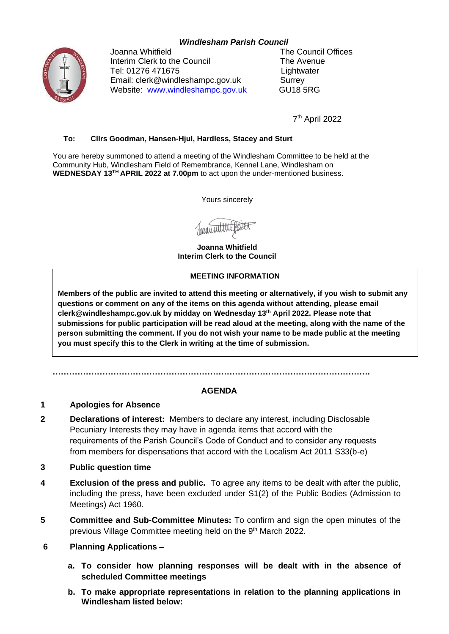## *Windlesham Parish Council*



Joanna Whitfield **The Council Offices** Interim Clerk to the Council The Avenue Tel: 01276 471675 Lightwater Email: clerk@windleshampc.gov.uk Surrey Website: [www.windleshampc.gov.uk](http://www.windleshampc.gov.uk/) GU18 5RG

7 th April 2022

#### **To: Cllrs Goodman, Hansen-Hjul, Hardless, Stacey and Sturt**

You are hereby summoned to attend a meeting of the Windlesham Committee to be held at the Community Hub, Windlesham Field of Remembrance, Kennel Lane, Windlesham on **WEDNESDAY 13TH APRIL 2022 at 7.00pm** to act upon the under-mentioned business.

Yours sincerely

Januari

**Joanna Whitfield Interim Clerk to the Council**

#### **MEETING INFORMATION**

**Members of the public are invited to attend this meeting or alternatively, if you wish to submit any questions or comment on any of the items on this agenda without attending, please email clerk@windleshampc.gov.uk by midday on Wednesday 13th April 2022. Please note that submissions for public participation will be read aloud at the meeting, along with the name of the person submitting the comment. If you do not wish your name to be made public at the meeting you must specify this to the Clerk in writing at the time of submission.**

**…………………………………………………………………………………………………….**

## **AGENDA**

### **1 Apologies for Absence**

- **2 Declarations of interest:** Members to declare any interest, including Disclosable Pecuniary Interests they may have in agenda items that accord with the requirements of the Parish Council's Code of Conduct and to consider any requests from members for dispensations that accord with the Localism Act 2011 S33(b-e)
- **3 Public question time**
- **4 Exclusion of the press and public.** To agree any items to be dealt with after the public, including the press, have been excluded under S1(2) of the Public Bodies (Admission to Meetings) Act 1960.
- **5 Committee and Sub-Committee Minutes:** To confirm and sign the open minutes of the previous Village Committee meeting held on the 9<sup>th</sup> March 2022.
- **6 Planning Applications –**
	- **a. To consider how planning responses will be dealt with in the absence of scheduled Committee meetings**
	- **b. To make appropriate representations in relation to the planning applications in Windlesham listed below:**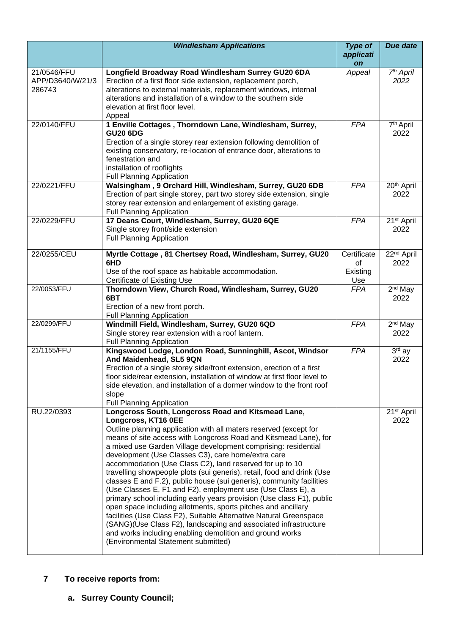|                                           | <b>Windlesham Applications</b>                                                                                                                                                                                                                                                                                                                                                                                                                                                                                                                                                                                                                                                                                                                                                                                                                                                                                                                                                                                 | <b>Type of</b><br>applicati<br><b>on</b> | Due date                       |
|-------------------------------------------|----------------------------------------------------------------------------------------------------------------------------------------------------------------------------------------------------------------------------------------------------------------------------------------------------------------------------------------------------------------------------------------------------------------------------------------------------------------------------------------------------------------------------------------------------------------------------------------------------------------------------------------------------------------------------------------------------------------------------------------------------------------------------------------------------------------------------------------------------------------------------------------------------------------------------------------------------------------------------------------------------------------|------------------------------------------|--------------------------------|
| 21/0546/FFU<br>APP/D3640/W/21/3<br>286743 | Longfield Broadway Road Windlesham Surrey GU20 6DA<br>Erection of a first floor side extension, replacement porch,<br>alterations to external materials, replacement windows, internal<br>alterations and installation of a window to the southern side<br>elevation at first floor level.<br>Appeal                                                                                                                                                                                                                                                                                                                                                                                                                                                                                                                                                                                                                                                                                                           | Appeal                                   | 7 <sup>th</sup> April<br>2022  |
| 22/0140/FFU                               | 1 Enville Cottages, Thorndown Lane, Windlesham, Surrey,<br><b>GU20 6DG</b><br>Erection of a single storey rear extension following demolition of<br>existing conservatory, re-location of entrance door, alterations to<br>fenestration and<br>installation of rooflights<br><b>Full Planning Application</b>                                                                                                                                                                                                                                                                                                                                                                                                                                                                                                                                                                                                                                                                                                  | <b>FPA</b>                               | 7 <sup>th</sup> April<br>2022  |
| 22/0221/FFU                               | Walsingham, 9 Orchard Hill, Windlesham, Surrey, GU20 6DB<br>Erection of part single storey, part two storey side extension, single<br>storey rear extension and enlargement of existing garage.<br><b>Full Planning Application</b>                                                                                                                                                                                                                                                                                                                                                                                                                                                                                                                                                                                                                                                                                                                                                                            | <b>FPA</b>                               | 20 <sup>th</sup> April<br>2022 |
| 22/0229/FFU                               | 17 Deans Court, Windlesham, Surrey, GU20 6QE<br>Single storey front/side extension<br><b>Full Planning Application</b>                                                                                                                                                                                                                                                                                                                                                                                                                                                                                                                                                                                                                                                                                                                                                                                                                                                                                         | <b>FPA</b>                               | 21 <sup>st</sup> April<br>2022 |
| 22/0255/CEU                               | Myrtle Cottage, 81 Chertsey Road, Windlesham, Surrey, GU20<br>6HD<br>Use of the roof space as habitable accommodation.<br>Certificate of Existing Use                                                                                                                                                                                                                                                                                                                                                                                                                                                                                                                                                                                                                                                                                                                                                                                                                                                          | Certificate<br>of<br>Existing<br>Use     | 22 <sup>nd</sup> April<br>2022 |
| 22/0053/FFU                               | Thorndown View, Church Road, Windlesham, Surrey, GU20<br>6BT<br>Erection of a new front porch.<br><b>Full Planning Application</b>                                                                                                                                                                                                                                                                                                                                                                                                                                                                                                                                                                                                                                                                                                                                                                                                                                                                             | <b>FPA</b>                               | 2 <sup>nd</sup> May<br>2022    |
| 22/0299/FFU                               | Windmill Field, Windlesham, Surrey, GU20 6QD<br>Single storey rear extension with a roof lantern.<br><b>Full Planning Application</b>                                                                                                                                                                                                                                                                                                                                                                                                                                                                                                                                                                                                                                                                                                                                                                                                                                                                          | <b>FPA</b>                               | $2nd$ May<br>2022              |
| 21/1155/FFU                               | Kingswood Lodge, London Road, Sunninghill, Ascot, Windsor<br>And Maidenhead, SL5 9QN<br>Erection of a single storey side/front extension, erection of a first<br>floor side/rear extension, installation of window at first floor level to<br>side elevation, and installation of a dormer window to the front roof<br>slope<br><b>Full Planning Application</b>                                                                                                                                                                                                                                                                                                                                                                                                                                                                                                                                                                                                                                               | <b>FPA</b>                               | 3rd ay<br>2022                 |
| RU.22/0393                                | Longcross South, Longcross Road and Kitsmead Lane,<br>Longcross, KT16 0EE<br>Outline planning application with all maters reserved (except for<br>means of site access with Longcross Road and Kitsmead Lane), for<br>a mixed use Garden Village development comprising: residential<br>development (Use Classes C3), care home/extra care<br>accommodation (Use Class C2), land reserved for up to 10<br>travelling showpeople plots (sui generis), retail, food and drink (Use<br>classes E and F.2), public house (sui generis), community facilities<br>(Use Classes E, F1 and F2), employment use (Use Class E), a<br>primary school including early years provision (Use class F1), public<br>open space including allotments, sports pitches and ancillary<br>facilities (Use Class F2), Suitable Alternative Natural Greenspace<br>(SANG) (Use Class F2), landscaping and associated infrastructure<br>and works including enabling demolition and ground works<br>(Environmental Statement submitted) |                                          | 21 <sup>st</sup> April<br>2022 |

# **7 To receive reports from:**

**a. Surrey County Council;**